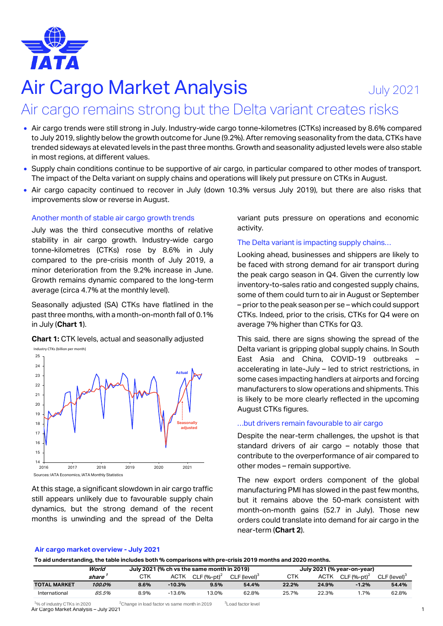

# Air Cargo Market Analysis **July 2021**

# Air cargo remains strong but the Delta variant creates risks

- Air cargo trends were still strong in July. Industry-wide cargo tonne-kilometres (CTKs) increased by 8.6% compared to July 2019, slightly below the growth outcome for June (9.2%). After removing seasonality from the data, CTKs have trended sideways at elevated levels in the past three months. Growth and seasonality adjusted levels were also stable in most regions, at different values.
- Supply chain conditions continue to be supportive of air cargo, in particular compared to other modes of transport. The impact of the Delta variant on supply chains and operations will likely put pressure on CTKs in August.
- Air cargo capacity continued to recover in July (down 10.3% versus July 2019), but there are also risks that improvements slow or reverse in August.

#### Another month of stable air cargo growth trends

July was the third consecutive months of relative stability in air cargo growth. Industry-wide cargo tonne-kilometres (CTKs) rose by 8.6% in July compared to the pre-crisis month of July 2019, a minor deterioration from the 9.2% increase in June. Growth remains dynamic compared to the long-term average (circa 4.7% at the monthly level).

Seasonally adjusted (SA) CTKs have flatlined in the past three months, with a month-on-month fall of 0.1% in July (**Chart 1**).

**Chart 1:** CTK levels, actual and seasonally adjusted Industry CTKs (billion per month)



At this stage, a significant slowdown in air cargo traffic still appears unlikely due to favourable supply chain dynamics, but the strong demand of the recent months is unwinding and the spread of the Delta

variant puts pressure on operations and economic activity.

### The Delta variant is impacting supply chains…

Looking ahead, businesses and shippers are likely to be faced with strong demand for air transport during the peak cargo season in Q4. Given the currently low inventory-to-sales ratio and congested supply chains, some of them could turn to air in August or September – prior to the peak season per se – which could support CTKs. Indeed, prior to the crisis, CTKs for Q4 were on average 7% higher than CTKs for Q3.

This said, there are signs showing the spread of the Delta variant is gripping global supply chains. In South East Asia and China, COVID-19 outbreaks – accelerating in late-July – led to strict restrictions, in some cases impacting handlers at airports and forcing manufacturers to slow operations and shipments. This is likely to be more clearly reflected in the upcoming August CTKs figures.

#### …but drivers remain favourable to air cargo

Despite the near-term challenges, the upshot is that standard drivers of air cargo – notably those that contribute to the overperformance of air compared to other modes – remain supportive.

The new export orders component of the global manufacturing PMI has slowed in the past few months, but it remains above the 50-mark consistent with month-on-month gains (52.7 in July). Those new orders could translate into demand for air cargo in the near-term (**Chart 2**).

#### **Air cargo market overview - July 2021**

**To aid understanding, the table includes both % comparisons with pre-crisis 2019 months and 2020 months.**

|                     | World  |      |             | July 2021 (% ch vs the same month in 2019) |                          | July 2021 (% year-on-year) |       |               |                          |  |
|---------------------|--------|------|-------------|--------------------------------------------|--------------------------|----------------------------|-------|---------------|--------------------------|--|
|                     | share  | стк  | <b>ACTK</b> | CLF $(%-pt)^2$                             | CLF (level) <sup>3</sup> | CTK                        | ACTK  | $CLF (%-pt)2$ | CLF (level) <sup>3</sup> |  |
| <b>TOTAL MARKET</b> | 100.0% | 8.6% | $-10.3%$    | 9.5%                                       | 54.4%                    | 22.2%                      | 24.9% | $-1.2%$       | 54.4%                    |  |
| International       | 85.5%  | 8.9% | $-13.6%$    | 13.0%                                      | 62.8%                    | 25.7%                      | 22.3% | .7%           | 62.8%                    |  |

Air Cargo Market Analysis – July 2021 1  $\%$  of industry CTKs in 2020  $2$ Change in load factor vs same month in 2019  $3$ Load factor level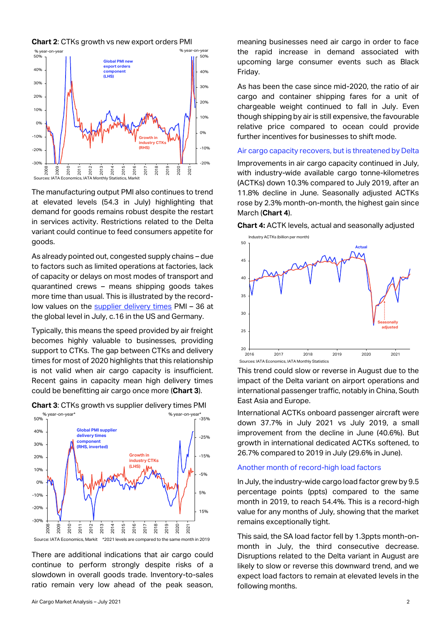**Chart 2**: CTKs growth vs new export orders PMI



The manufacturing output PMI also continues to trend at elevated levels (54.3 in July) highlighting that demand for goods remains robust despite the restart in services activity. Restrictions related to the Delta variant could continue to feed consumers appetite for goods.

As already pointed out, congested supply chains – due to factors such as limited operations at factories, lack of capacity or delays on most modes of transport and quarantined crews – means shipping goods takes more time than usual. This is illustrated by the recordlow values on the [supplier delivery times](https://www.iata.org/en/iata-repository/publications/economic-reports/record-high-supplier-delivery-times-provide-support-to-air-cargo/) PMI – 36 at the global level in July, c.16 in the US and Germany.

Typically, this means the speed provided by air freight becomes highly valuable to businesses, providing support to CTKs. The gap between CTKs and delivery times for most of 2020 highlights that this relationship is not valid when air cargo capacity is insufficient. Recent gains in capacity mean high delivery times could be benefitting air cargo once more (**Chart 3**).



**Chart 3**: CTKs growth vs supplier delivery times PMI

There are additional indications that air cargo could continue to perform strongly despite risks of a slowdown in overall goods trade. Inventory-to-sales ratio remain very low ahead of the peak season, meaning businesses need air cargo in order to face the rapid increase in demand associated with upcoming large consumer events such as Black Friday.

As has been the case since mid-2020, the ratio of air cargo and container shipping fares for a unit of chargeable weight continued to fall in July. Even though shipping by air is still expensive, the favourable relative price compared to ocean could provide further incentives for businesses to shift mode.

#### Air cargo capacity recovers, but is threatened by Delta

Improvements in air cargo capacity continued in July, with industry-wide available cargo tonne-kilometres (ACTKs) down 10.3% compared to July 2019, after an 11.8% decline in June. Seasonally adjusted ACTKs rose by 2.3% month-on-month, the highest gain since March (**Chart 4**).

**Chart 4:** ACTK levels, actual and seasonally adjusted



This trend could slow or reverse in August due to the impact of the Delta variant on airport operations and international passenger traffic, notably in China, South East Asia and Europe.

International ACTKs onboard passenger aircraft were down 37.7% in July 2021 vs July 2019, a small improvement from the decline in June (40.6%). But growth in international dedicated ACTKs softened, to 26.7% compared to 2019 in July (29.6% in June).

### Another month of record-high load factors

In July, the industry-wide cargo load factor grew by 9.5 percentage points (ppts) compared to the same month in 2019, to reach 54.4%. This is a record-high value for any months of July, showing that the market remains exceptionally tight.

This said, the SA load factor fell by 1.3ppts month-onmonth in July, the third consecutive decrease. Disruptions related to the Delta variant in August are likely to slow or reverse this downward trend, and we expect load factors to remain at elevated levels in the following months.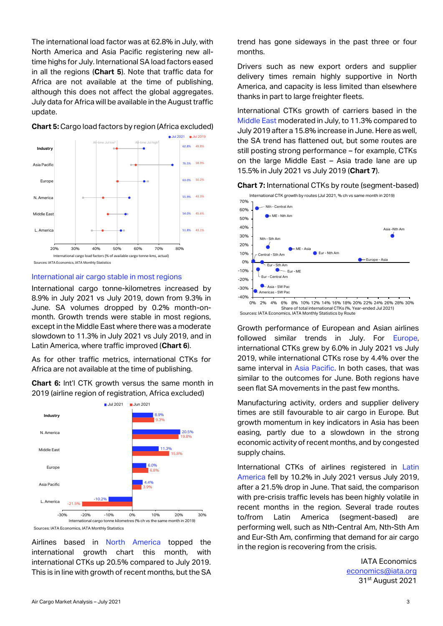The international load factor was at 62.8% in July, with North America and Asia Pacific registering new alltime highs for July. International SA load factors eased in all the regions (**Chart 5**). Note that traffic data for Africa are not available at the time of publishing, although this does not affect the global aggregates. July data for Africa will be available in the August traffic update.



# **Chart 5:** Cargo load factors by region (Africa excluded)

International air cargo stable in most regions

International cargo tonne-kilometres increased by 8.9% in July 2021 vs July 2019, down from 9.3% in June. SA volumes dropped by 0.2% month-onmonth. Growth trends were stable in most regions, except in the Middle East where there was a moderate slowdown to 11.3% in July 2021 vs July 2019, and in Latin America, where traffic improved (**Chart 6**).

As for other traffic metrics, international CTKs for Africa are not available at the time of publishing.

**Chart 6:** Int'l CTK growth versus the same month in 2019 (airline region of registration, Africa excluded)



Sources: IATA Economics, IATA Monthly Statistics

Airlines based in North America topped the international growth chart this month, with international CTKs up 20.5% compared to July 2019. This is in line with growth of recent months, but the SA trend has gone sideways in the past three or four months.

Drivers such as new export orders and supplier delivery times remain highly supportive in North America, and capacity is less limited than elsewhere thanks in part to large freighter fleets.

International CTKs growth of carriers based in the Middle East moderated in July, to 11.3% compared to July 2019 after a 15.8% increase in June. Here as well, the SA trend has flattened out, but some routes are still posting strong performance – for example, CTKs on the large Middle East – Asia trade lane are up 15.5% in July 2021 vs July 2019 (**Chart 7**).





Share of total international CTKs (%, Year-ended Jul 2021) Sources: IATA Economics, IATA Monthly Statistics by Route

Growth performance of European and Asian airlines followed similar trends in July. For Europe, international CTKs grew by 6.0% in July 2021 vs July 2019, while international CTKs rose by 4.4% over the same interval in Asia Pacific. In both cases, that was similar to the outcomes for June. Both regions have seen flat SA movements in the past few months.

Manufacturing activity, orders and supplier delivery times are still favourable to air cargo in Europe. But growth momentum in key indicators in Asia has been easing, partly due to a slowdown in the strong economic activity of recent months, and by congested supply chains.

International CTKs of airlines registered in Latin America fell by 10.2% in July 2021 versus July 2019, after a 21.5% drop in June. That said, the comparison with pre-crisis traffic levels has been highly volatile in recent months in the region. Several trade routes to/from Latin America (segment-based) are performing well, such as Nth-Central Am, Nth-Sth Am and Eur-Sth Am, confirming that demand for air cargo in the region is recovering from the crisis.

> IATA Economics [economics@iata.org](mailto:economics@iata.org) 31st August 2021